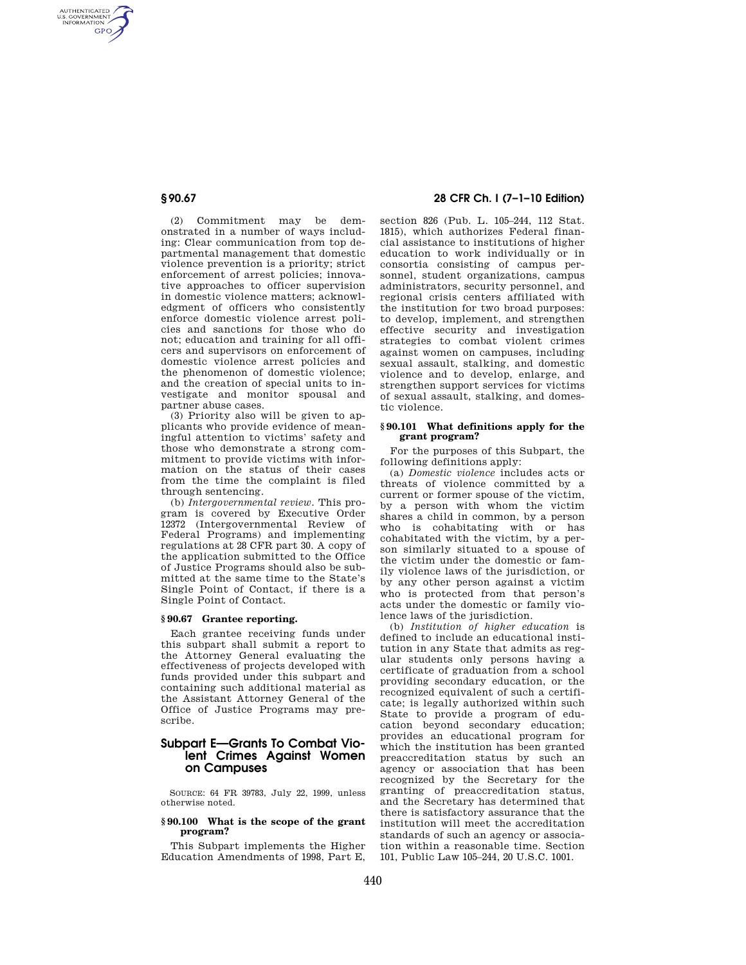AUTHENTICATED<br>U.S. GOVERNMENT<br>INFORMATION **GPO** 

> (2) Commitment may be demonstrated in a number of ways including: Clear communication from top departmental management that domestic violence prevention is a priority; strict enforcement of arrest policies; innovative approaches to officer supervision in domestic violence matters; acknowledgment of officers who consistently enforce domestic violence arrest policies and sanctions for those who do not; education and training for all officers and supervisors on enforcement of domestic violence arrest policies and the phenomenon of domestic violence; and the creation of special units to investigate and monitor spousal and partner abuse cases.

> (3) Priority also will be given to applicants who provide evidence of meaningful attention to victims' safety and those who demonstrate a strong commitment to provide victims with information on the status of their cases from the time the complaint is filed through sentencing.

> (b) *Intergovernmental review.* This program is covered by Executive Order 12372 (Intergovernmental Review of Federal Programs) and implementing regulations at 28 CFR part 30. A copy of the application submitted to the Office of Justice Programs should also be submitted at the same time to the State's Single Point of Contact, if there is a Single Point of Contact.

# **§ 90.67 Grantee reporting.**

Each grantee receiving funds under this subpart shall submit a report to the Attorney General evaluating the effectiveness of projects developed with funds provided under this subpart and containing such additional material as the Assistant Attorney General of the Office of Justice Programs may prescribe.

# **Subpart E—Grants To Combat Violent Crimes Against Women on Campuses**

SOURCE: 64 FR 39783, July 22, 1999, unless otherwise noted.

# **§ 90.100 What is the scope of the grant program?**

This Subpart implements the Higher Education Amendments of 1998, Part E,

# **§ 90.67 28 CFR Ch. I (7–1–10 Edition)**

section 826 (Pub. L. 105–244, 112 Stat. 1815), which authorizes Federal financial assistance to institutions of higher education to work individually or in consortia consisting of campus personnel, student organizations, campus administrators, security personnel, and regional crisis centers affiliated with the institution for two broad purposes: to develop, implement, and strengthen effective security and investigation strategies to combat violent crimes against women on campuses, including sexual assault, stalking, and domestic violence and to develop, enlarge, and strengthen support services for victims of sexual assault, stalking, and domestic violence.

## **§ 90.101 What definitions apply for the grant program?**

For the purposes of this Subpart, the following definitions apply:

(a) *Domestic violence* includes acts or threats of violence committed by a current or former spouse of the victim, by a person with whom the victim shares a child in common, by a person who is cohabitating with or has cohabitated with the victim, by a person similarly situated to a spouse of the victim under the domestic or family violence laws of the jurisdiction, or by any other person against a victim who is protected from that person's acts under the domestic or family violence laws of the jurisdiction.

(b) *Institution of higher education* is defined to include an educational institution in any State that admits as regular students only persons having a certificate of graduation from a school providing secondary education, or the recognized equivalent of such a certificate; is legally authorized within such State to provide a program of education beyond secondary education; provides an educational program for which the institution has been granted preaccreditation status by such an agency or association that has been recognized by the Secretary for the granting of preaccreditation status, and the Secretary has determined that there is satisfactory assurance that the institution will meet the accreditation standards of such an agency or association within a reasonable time. Section 101, Public Law 105–244, 20 U.S.C. 1001.